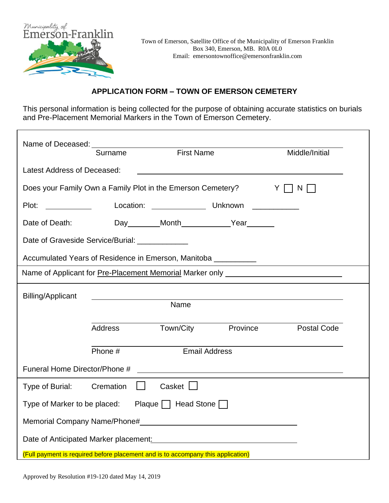

#### **APPLICATION FORM – TOWN OF EMERSON CEMETERY**

This personal information is being collected for the purpose of obtaining accurate statistics on burials and Pre-Placement Memorial Markers in the Town of Emerson Cemetery.

|                                                                       | Surname                                                                          | <b>First Name</b> |                                                                                                                      | Middle/Initial                                                                   |  |
|-----------------------------------------------------------------------|----------------------------------------------------------------------------------|-------------------|----------------------------------------------------------------------------------------------------------------------|----------------------------------------------------------------------------------|--|
| Latest Address of Deceased:                                           |                                                                                  |                   |                                                                                                                      |                                                                                  |  |
| Does your Family Own a Family Plot in the Emerson Cemetery?<br>Y<br>N |                                                                                  |                   |                                                                                                                      |                                                                                  |  |
| Plot:                                                                 |                                                                                  | Location: Unknown |                                                                                                                      |                                                                                  |  |
| Date of Death:                                                        |                                                                                  |                   | Day Month Year                                                                                                       |                                                                                  |  |
|                                                                       | Date of Graveside Service/Burial: _____________                                  |                   |                                                                                                                      |                                                                                  |  |
|                                                                       | Accumulated Years of Residence in Emerson, Manitoba ___________                  |                   |                                                                                                                      |                                                                                  |  |
|                                                                       |                                                                                  |                   |                                                                                                                      | Name of Applicant for Pre-Placement Memorial Marker only _______________________ |  |
| <b>Billing/Applicant</b>                                              |                                                                                  |                   |                                                                                                                      |                                                                                  |  |
|                                                                       |                                                                                  |                   |                                                                                                                      |                                                                                  |  |
|                                                                       | Address                                                                          |                   | Town/City Province                                                                                                   | <b>Postal Code</b>                                                               |  |
|                                                                       | Phone #                                                                          |                   | <b>Email Address</b>                                                                                                 |                                                                                  |  |
| Funeral Home Director/Phone #                                         |                                                                                  |                   | <u> 1980 - Jan Stein Stein Stein Stein Stein Stein Stein Stein Stein Stein Stein Stein Stein Stein Stein Stein S</u> |                                                                                  |  |
| Type of Burial:                                                       | Cremation<br>$\mathbf{1}$                                                        | Casket $\Box$     |                                                                                                                      |                                                                                  |  |
|                                                                       | Type of Marker to be placed: Plaque $\Box$ Head Stone $\Box$                     |                   |                                                                                                                      |                                                                                  |  |
|                                                                       |                                                                                  |                   |                                                                                                                      |                                                                                  |  |
|                                                                       | Date of Anticipated Marker placement: Date of Anticipated Marker placement:      |                   |                                                                                                                      |                                                                                  |  |
|                                                                       | (Full payment is required before placement and is to accompany this application) |                   |                                                                                                                      |                                                                                  |  |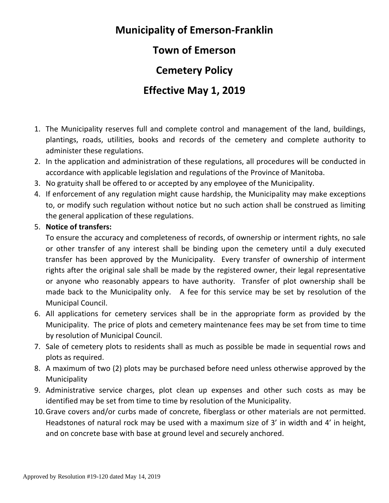# **Municipality of Emerson-Franklin**

### **Town of Emerson**

**Cemetery Policy**

### **Effective May 1, 2019**

- 1. The Municipality reserves full and complete control and management of the land, buildings, plantings, roads, utilities, books and records of the cemetery and complete authority to administer these regulations.
- 2. In the application and administration of these regulations, all procedures will be conducted in accordance with applicable legislation and regulations of the Province of Manitoba.
- 3. No gratuity shall be offered to or accepted by any employee of the Municipality.
- 4. If enforcement of any regulation might cause hardship, the Municipality may make exceptions to, or modify such regulation without notice but no such action shall be construed as limiting the general application of these regulations.

#### 5. **Notice of transfers:**

To ensure the accuracy and completeness of records, of ownership or interment rights, no sale or other transfer of any interest shall be binding upon the cemetery until a duly executed transfer has been approved by the Municipality. Every transfer of ownership of interment rights after the original sale shall be made by the registered owner, their legal representative or anyone who reasonably appears to have authority. Transfer of plot ownership shall be made back to the Municipality only. A fee for this service may be set by resolution of the Municipal Council.

- 6. All applications for cemetery services shall be in the appropriate form as provided by the Municipality. The price of plots and cemetery maintenance fees may be set from time to time by resolution of Municipal Council.
- 7. Sale of cemetery plots to residents shall as much as possible be made in sequential rows and plots as required.
- 8. A maximum of two (2) plots may be purchased before need unless otherwise approved by the Municipality
- 9. Administrative service charges, plot clean up expenses and other such costs as may be identified may be set from time to time by resolution of the Municipality.
- 10.Grave covers and/or curbs made of concrete, fiberglass or other materials are not permitted. Headstones of natural rock may be used with a maximum size of 3' in width and 4' in height, and on concrete base with base at ground level and securely anchored.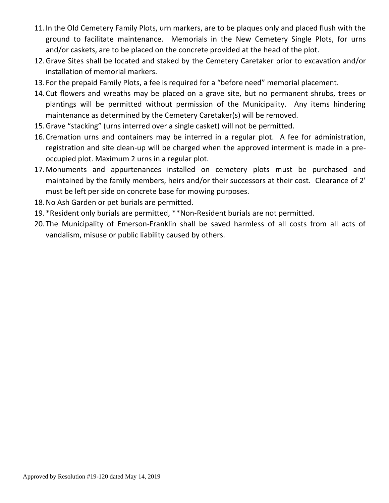- 11.In the Old Cemetery Family Plots, urn markers, are to be plaques only and placed flush with the ground to facilitate maintenance. Memorials in the New Cemetery Single Plots, for urns and/or caskets, are to be placed on the concrete provided at the head of the plot.
- 12.Grave Sites shall be located and staked by the Cemetery Caretaker prior to excavation and/or installation of memorial markers.
- 13. For the prepaid Family Plots, a fee is required for a "before need" memorial placement.
- 14.Cut flowers and wreaths may be placed on a grave site, but no permanent shrubs, trees or plantings will be permitted without permission of the Municipality. Any items hindering maintenance as determined by the Cemetery Caretaker(s) will be removed.
- 15.Grave "stacking" (urns interred over a single casket) will not be permitted.
- 16.Cremation urns and containers may be interred in a regular plot. A fee for administration, registration and site clean-up will be charged when the approved interment is made in a preoccupied plot. Maximum 2 urns in a regular plot.
- 17.Monuments and appurtenances installed on cemetery plots must be purchased and maintained by the family members, heirs and/or their successors at their cost. Clearance of 2' must be left per side on concrete base for mowing purposes.
- 18.No Ash Garden or pet burials are permitted.
- 19.\*Resident only burials are permitted, \*\*Non-Resident burials are not permitted.
- 20.The Municipality of Emerson-Franklin shall be saved harmless of all costs from all acts of vandalism, misuse or public liability caused by others.